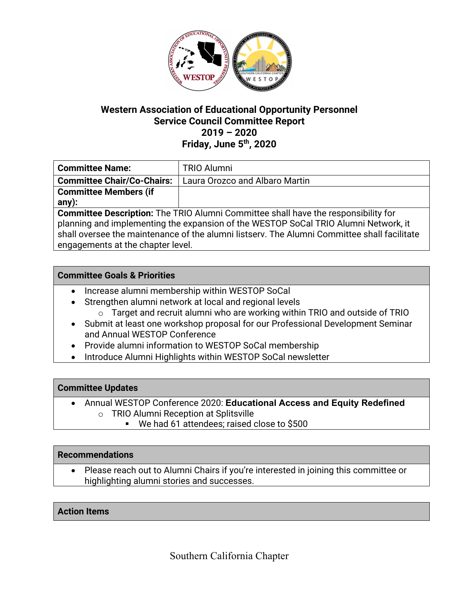

# **Western Association of Educational Opportunity Personnel Service Council Committee Report 2019 – 2020 Friday, June 5th, 2020**

| <b>Committee Name:</b>                                                                      | <b>TRIO Alumni</b>             |
|---------------------------------------------------------------------------------------------|--------------------------------|
| <b>Committee Chair/Co-Chairs:</b>                                                           | Laura Orozco and Albaro Martin |
| <b>Committee Members (if</b>                                                                |                                |
| any):                                                                                       |                                |
| <b>Committee Description:</b> The TRIO Alumni Committee shall have the responsibility for   |                                |
| planning and implementing the expansion of the WESTOP SoCal TRIO Alumni Network, it         |                                |
| shall oversee the maintenance of the alumni listsery. The Alumni Committee shall facilitate |                                |

engagements at the chapter level.

## **Committee Goals & Priorities**

- Increase alumni membership within WESTOP SoCal
- Strengthen alumni network at local and regional levels
	- o Target and recruit alumni who are working within TRIO and outside of TRIO
- Submit at least one workshop proposal for our Professional Development Seminar and Annual WESTOP Conference
- Provide alumni information to WESTOP SoCal membership
- Introduce Alumni Highlights within WESTOP SoCal newsletter

## **Committee Updates**

- Annual WESTOP Conference 2020: **Educational Access and Equity Redefined** o TRIO Alumni Reception at Splitsville
	- § We had 61 attendees; raised close to \$500

## **Recommendations**

• Please reach out to Alumni Chairs if you're interested in joining this committee or highlighting alumni stories and successes.

## **Action Items**